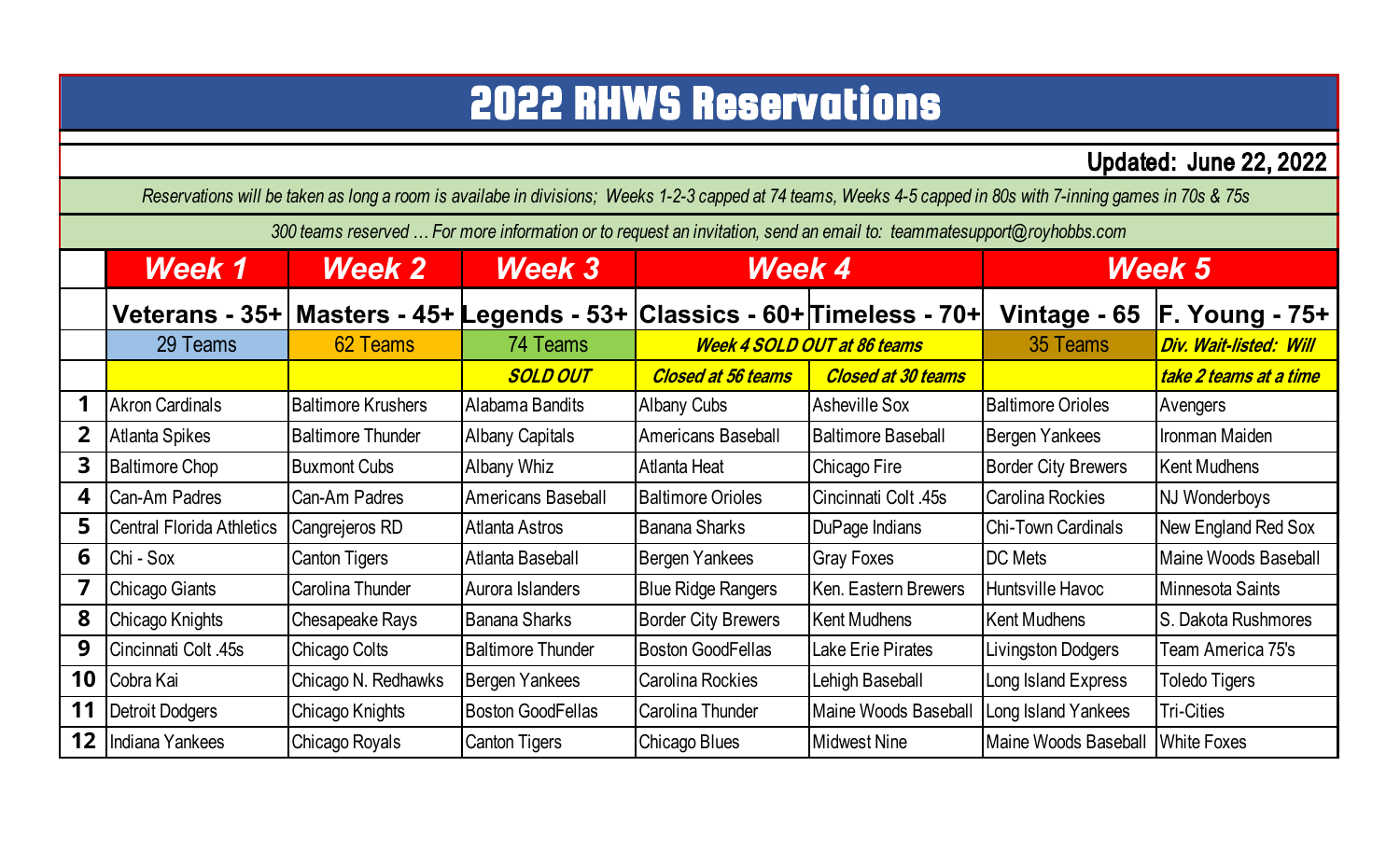## 2022 RHWS Reservations

Updated: June 22, 2022

*Reservations will be taken as long a room is availabe in divisions; Weeks 1-2-3 capped at 74 teams, Weeks 4-5 capped in 80s with 7-inning games in 70s & 75s* 

*300 teams reserved … For more information or to request an invitation, send an email to: teammatesupport@royhobbs.com*

|                | <b>Week 1</b>                                                                  | <b>Week 2</b>             | <b>Week 3</b>             | <b>Week 4</b>                      |                           | <b>Week 5</b>               |                        |
|----------------|--------------------------------------------------------------------------------|---------------------------|---------------------------|------------------------------------|---------------------------|-----------------------------|------------------------|
|                | Veterans - 35+   Masters - 45+ Legends - 53+   Classics - 60+   Timeless - 70+ |                           |                           |                                    |                           | Vintage - 65                | <b>F. Young - 75+</b>  |
|                | 29 Teams                                                                       | 62 Teams                  | 74 Teams                  | <b>Week 4 SOLD OUT at 86 teams</b> |                           | 35 Teams                    | Div. Wait-listed: Will |
|                |                                                                                |                           | <b>SOLD OUT</b>           | <b>Closed at 56 teams</b>          | <b>Closed at 30 teams</b> |                             | take 2 teams at a time |
|                | <b>Akron Cardinals</b>                                                         | <b>Baltimore Krushers</b> | Alabama Bandits           | <b>Albany Cubs</b>                 | <b>Asheville Sox</b>      | <b>Baltimore Orioles</b>    | Avengers               |
| 2 <sup>1</sup> | Atlanta Spikes                                                                 | <b>Baltimore Thunder</b>  | <b>Albany Capitals</b>    | <b>Americans Baseball</b>          | <b>Baltimore Baseball</b> | Bergen Yankees              | Ironman Maiden         |
| 3              | <b>Baltimore Chop</b>                                                          | <b>Buxmont Cubs</b>       | Albany Whiz               | Atlanta Heat                       | Chicago Fire              | <b>Border City Brewers</b>  | <b>Kent Mudhens</b>    |
| 4              | Can-Am Padres                                                                  | Can-Am Padres             | <b>Americans Baseball</b> | <b>Baltimore Orioles</b>           | Cincinnati Colt. 45s      | Carolina Rockies            | <b>NJ Wonderboys</b>   |
| 5              | <b>Central Florida Athletics</b>                                               | Cangrejeros RD            | Atlanta Astros            | <b>Banana Sharks</b>               | DuPage Indians            | Chi-Town Cardinals          | New England Red Sox    |
| 6              | Chi - Sox                                                                      | <b>Canton Tigers</b>      | Atlanta Baseball          | Bergen Yankees                     | <b>Gray Foxes</b>         | <b>DC</b> Mets              | Maine Woods Baseball   |
| 7              | Chicago Giants                                                                 | Carolina Thunder          | Aurora Islanders          | <b>Blue Ridge Rangers</b>          | Ken. Eastern Brewers      | Huntsville Havoc            | Minnesota Saints       |
| 8              | Chicago Knights                                                                | Chesapeake Rays           | <b>Banana Sharks</b>      | <b>Border City Brewers</b>         | <b>Kent Mudhens</b>       | Kent Mudhens                | S. Dakota Rushmores    |
| 9              | Cincinnati Colt .45s                                                           | Chicago Colts             | <b>Baltimore Thunder</b>  | <b>Boston GoodFellas</b>           | Lake Erie Pirates         | Livingston Dodgers          | Team America 75's      |
| 10             | Cobra Kai                                                                      | Chicago N. Redhawks       | Bergen Yankees            | Carolina Rockies                   | Lehigh Baseball           | Long Island Express         | <b>Toledo Tigers</b>   |
| 11             | Detroit Dodgers                                                                | Chicago Knights           | <b>Boston GoodFellas</b>  | Carolina Thunder                   | Maine Woods Baseball      | Long Island Yankees         | <b>Tri-Cities</b>      |
| 12             | Indiana Yankees                                                                | Chicago Royals            | <b>Canton Tigers</b>      | Chicago Blues                      | <b>Midwest Nine</b>       | <b>Maine Woods Baseball</b> | <b>White Foxes</b>     |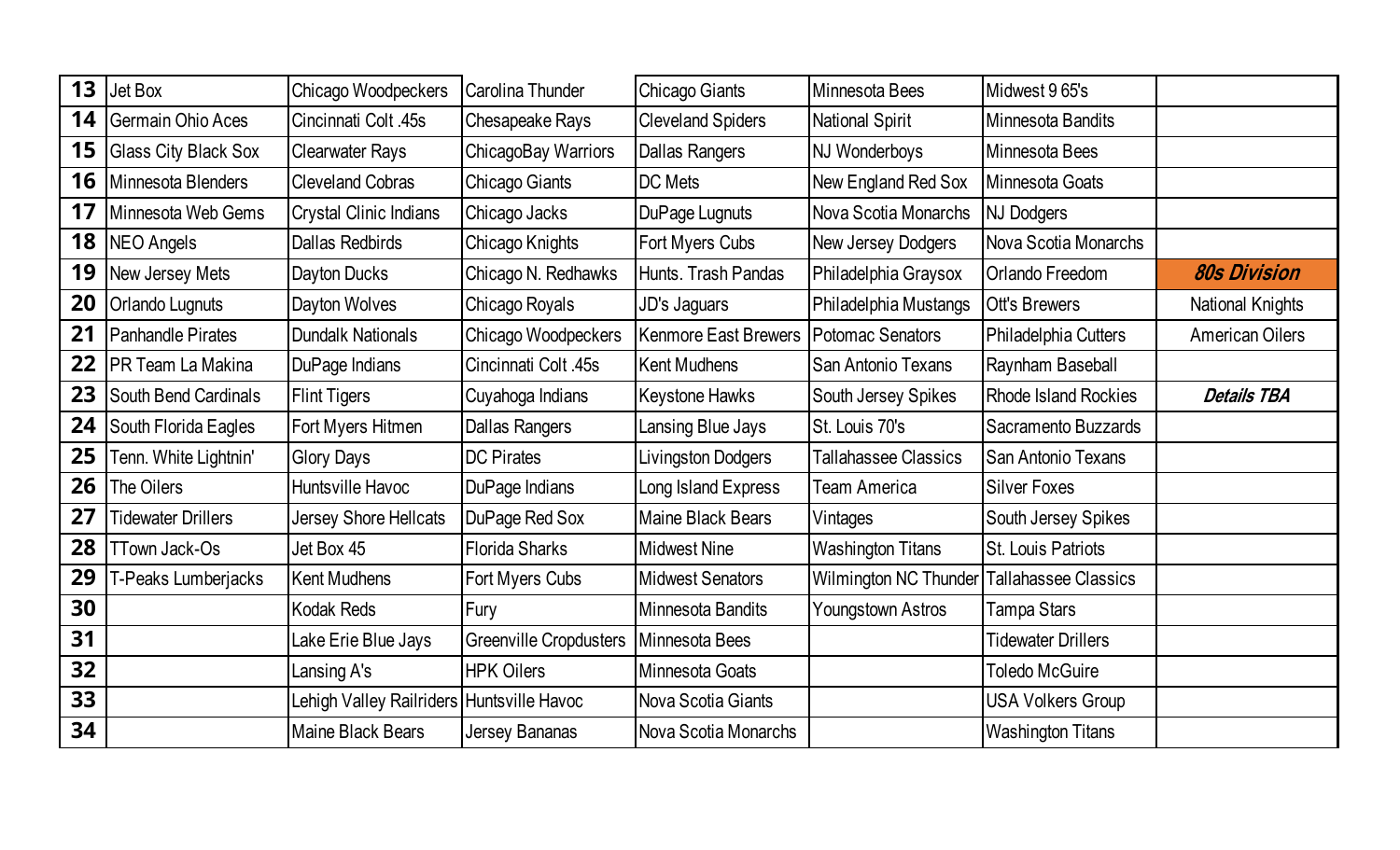| 13 | Jet Box                     | Chicago Woodpeckers                       | Carolina Thunder              | Chicago Giants              | Minnesota Bees              | Midwest 9 65's              |                         |
|----|-----------------------------|-------------------------------------------|-------------------------------|-----------------------------|-----------------------------|-----------------------------|-------------------------|
| 14 | <b>Germain Ohio Aces</b>    | Cincinnati Colt .45s                      | Chesapeake Rays               | <b>Cleveland Spiders</b>    | National Spirit             | Minnesota Bandits           |                         |
| 15 | <b>Glass City Black Sox</b> | <b>Clearwater Rays</b>                    | ChicagoBay Warriors           | <b>Dallas Rangers</b>       | NJ Wonderboys               | Minnesota Bees              |                         |
| 16 | Minnesota Blenders          | <b>Cleveland Cobras</b>                   | Chicago Giants                | DC Mets                     | New England Red Sox         | Minnesota Goats             |                         |
| 17 | Minnesota Web Gems          | <b>Crystal Clinic Indians</b>             | Chicago Jacks                 | DuPage Lugnuts              | Nova Scotia Monarchs        | <b>NJ Dodgers</b>           |                         |
| 18 | NEO Angels                  | <b>Dallas Redbirds</b>                    | Chicago Knights               | Fort Myers Cubs             | New Jersey Dodgers          | Nova Scotia Monarchs        |                         |
| 19 | New Jersey Mets             | Dayton Ducks                              | Chicago N. Redhawks           | Hunts. Trash Pandas         | Philadelphia Graysox        | <b>Orlando Freedom</b>      | <b>80s Division</b>     |
| 20 | <b>Orlando Lugnuts</b>      | Dayton Wolves                             | Chicago Royals                | JD's Jaguars                | Philadelphia Mustangs       | <b>Ott's Brewers</b>        | <b>National Knights</b> |
| 21 | Panhandle Pirates           | <b>Dundalk Nationals</b>                  | Chicago Woodpeckers           | <b>Kenmore East Brewers</b> | <b>Potomac Senators</b>     | Philadelphia Cutters        | <b>American Oilers</b>  |
| 22 | <b>PR Team La Makina</b>    | DuPage Indians                            | Cincinnati Colt .45s          | <b>Kent Mudhens</b>         | San Antonio Texans          | Raynham Baseball            |                         |
| 23 | South Bend Cardinals        | <b>Flint Tigers</b>                       | Cuyahoga Indians              | <b>Keystone Hawks</b>       | South Jersey Spikes         | <b>Rhode Island Rockies</b> | <b>Details TBA</b>      |
| 24 | South Florida Eagles        | Fort Myers Hitmen                         | Dallas Rangers                | Lansing Blue Jays           | St. Louis 70's              | Sacramento Buzzards         |                         |
| 25 | Tenn. White Lightnin'       | <b>Glory Days</b>                         | <b>DC Pirates</b>             | Livingston Dodgers          | <b>Tallahassee Classics</b> | <b>San Antonio Texans</b>   |                         |
| 26 | The Oilers                  | Huntsville Havoc                          | DuPage Indians                | Long Island Express         | Team America                | <b>Silver Foxes</b>         |                         |
| 27 | <b>Tidewater Drillers</b>   | Jersey Shore Hellcats                     | DuPage Red Sox                | Maine Black Bears           | Vintages                    | South Jersey Spikes         |                         |
| 28 | <b>TTown Jack-Os</b>        | Jet Box 45                                | <b>Florida Sharks</b>         | <b>Midwest Nine</b>         | <b>Washington Titans</b>    | <b>St. Louis Patriots</b>   |                         |
| 29 | T-Peaks Lumberjacks         | <b>Kent Mudhens</b>                       | Fort Myers Cubs               | <b>Midwest Senators</b>     | Wilmington NC Thunder       | <b>Tallahassee Classics</b> |                         |
| 30 |                             | <b>Kodak Reds</b>                         | Fury                          | Minnesota Bandits           | <b>Youngstown Astros</b>    | <b>Tampa Stars</b>          |                         |
| 31 |                             | Lake Erie Blue Jays                       | <b>Greenville Cropdusters</b> | Minnesota Bees              |                             | <b>Tidewater Drillers</b>   |                         |
| 32 |                             | Lansing A's                               | <b>HPK Oilers</b>             | Minnesota Goats             |                             | <b>Toledo McGuire</b>       |                         |
| 33 |                             | Lehigh Valley Railriders Huntsville Havoc |                               | Nova Scotia Giants          |                             | <b>USA Volkers Group</b>    |                         |
| 34 |                             | Maine Black Bears                         | <b>Jersey Bananas</b>         | Nova Scotia Monarchs        |                             | <b>Washington Titans</b>    |                         |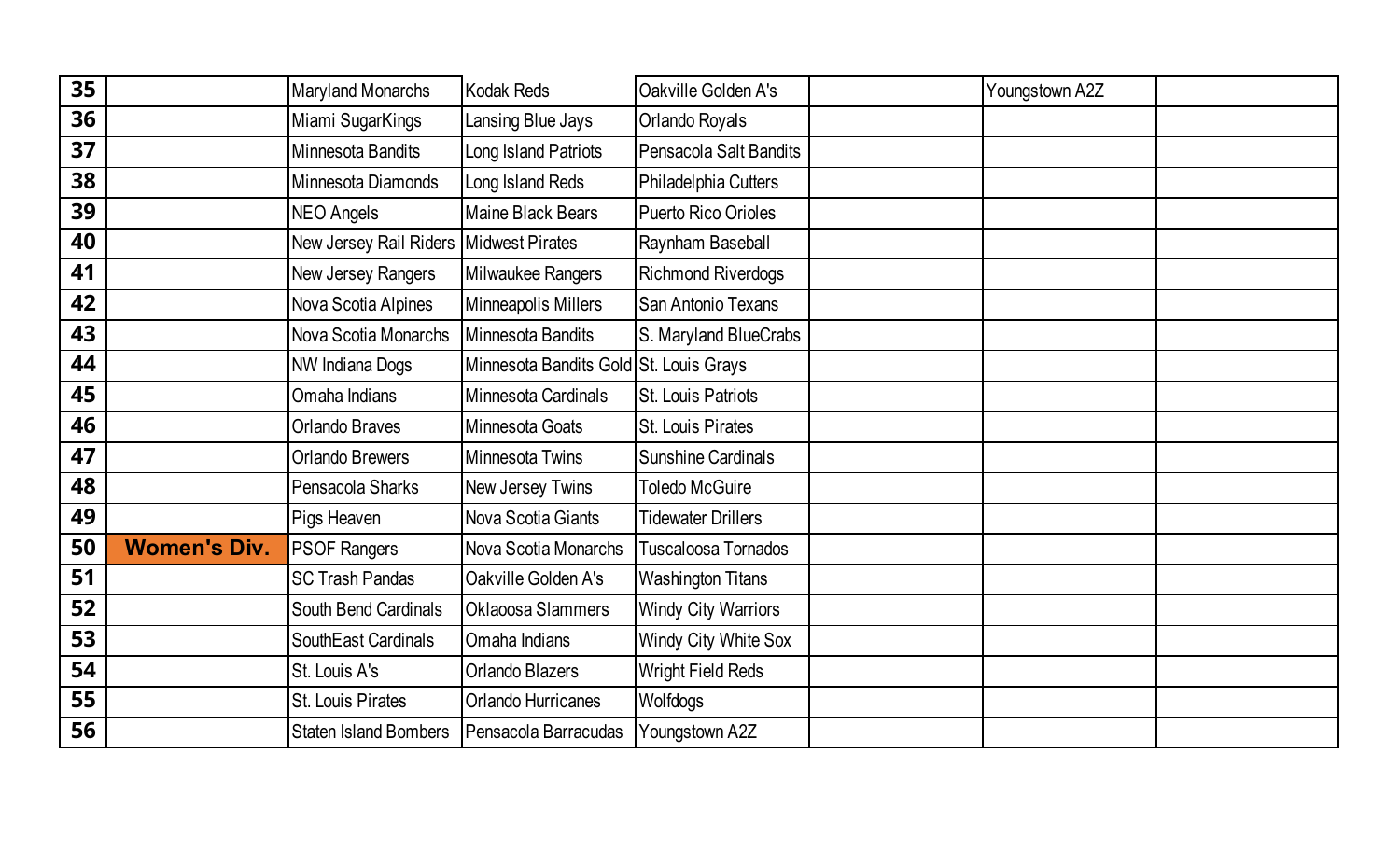| 35 |                     | <b>Maryland Monarchs</b>                 | <b>Kodak Reds</b>                      | Oakville Golden A's        | Youngstown A2Z |  |
|----|---------------------|------------------------------------------|----------------------------------------|----------------------------|----------------|--|
| 36 |                     | Miami SugarKings                         | Lansing Blue Jays                      | Orlando Royals             |                |  |
| 37 |                     | Minnesota Bandits                        | Long Island Patriots                   | Pensacola Salt Bandits     |                |  |
| 38 |                     | Minnesota Diamonds                       | Long Island Reds                       | Philadelphia Cutters       |                |  |
| 39 |                     | <b>NEO Angels</b>                        | <b>Maine Black Bears</b>               | <b>Puerto Rico Orioles</b> |                |  |
| 40 |                     | New Jersey Rail Riders   Midwest Pirates |                                        | Raynham Baseball           |                |  |
| 41 |                     | New Jersey Rangers                       | Milwaukee Rangers                      | <b>Richmond Riverdogs</b>  |                |  |
| 42 |                     | Nova Scotia Alpines                      | Minneapolis Millers                    | San Antonio Texans         |                |  |
| 43 |                     | Nova Scotia Monarchs                     | Minnesota Bandits                      | S. Maryland BlueCrabs      |                |  |
| 44 |                     | <b>NW Indiana Dogs</b>                   | Minnesota Bandits Gold St. Louis Grays |                            |                |  |
| 45 |                     | Omaha Indians                            | Minnesota Cardinals                    | St. Louis Patriots         |                |  |
| 46 |                     | <b>Orlando Braves</b>                    | Minnesota Goats                        | St. Louis Pirates          |                |  |
| 47 |                     | <b>Orlando Brewers</b>                   | <b>Minnesota Twins</b>                 | <b>Sunshine Cardinals</b>  |                |  |
| 48 |                     | Pensacola Sharks                         | New Jersey Twins                       | <b>Toledo McGuire</b>      |                |  |
| 49 |                     | Pigs Heaven                              | Nova Scotia Giants                     | <b>Tidewater Drillers</b>  |                |  |
| 50 | <b>Women's Div.</b> | <b>PSOF Rangers</b>                      | Nova Scotia Monarchs                   | Tuscaloosa Tornados        |                |  |
| 51 |                     | <b>SC Trash Pandas</b>                   | Oakville Golden A's                    | <b>Washington Titans</b>   |                |  |
| 52 |                     | South Bend Cardinals                     | Oklaoosa Slammers                      | <b>Windy City Warriors</b> |                |  |
| 53 |                     | SouthEast Cardinals                      | Omaha Indians                          | Windy City White Sox       |                |  |
| 54 |                     | St. Louis A's                            | <b>Orlando Blazers</b>                 | <b>Wright Field Reds</b>   |                |  |
| 55 |                     | St. Louis Pirates                        | <b>Orlando Hurricanes</b>              | Wolfdogs                   |                |  |
| 56 |                     | <b>Staten Island Bombers</b>             | Pensacola Barracudas                   | Youngstown A2Z             |                |  |